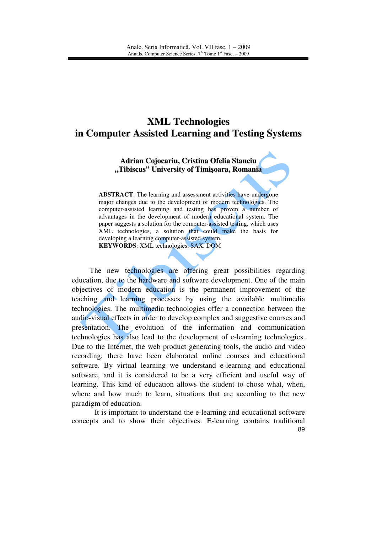## **XML Technologies in Computer Assisted Learning and Testing Systems**

**Adrian Cojocariu, Cristina Ofelia Stanciu "Tibiscus" University of Timi**ş**oara, Romania**

**ABSTRACT**: The learning and assessment activities have undergone major changes due to the development of modern technologies. The computer-assisted learning and testing has proven a number of advantages in the development of modern educational system. The paper suggests a solution for the computer-assisted testing, which uses XML technologies, a solution that could make the basis for developing a learning computer-assisted system. **KEYWORDS**: XML technologies, SAX, DOM

The new technologies are offering great possibilities regarding education, due to the hardware and software development. One of the main objectives of modern education is the permanent improvement of the teaching and learning processes by using the available multimedia technologies. The multimedia technologies offer a connection between the audio-visual effects in order to develop complex and suggestive courses and presentation. The evolution of the information and communication technologies has also lead to the development of e-learning technologies. Due to the Internet, the web product generating tools, the audio and video recording, there have been elaborated online courses and educational software. By virtual learning we understand e-learning and educational software, and it is considered to be a very efficient and useful way of learning. This kind of education allows the student to chose what, when, where and how much to learn, situations that are according to the new paradigm of education.

89 It is important to understand the e-learning and educational software concepts and to show their objectives. E-learning contains traditional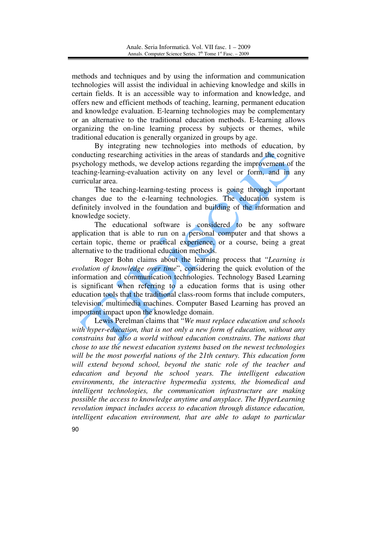methods and techniques and by using the information and communication technologies will assist the individual in achieving knowledge and skills in certain fields. It is an accessible way to information and knowledge, and offers new and efficient methods of teaching, learning, permanent education and knowledge evaluation. E-learning technologies may be complementary or an alternative to the traditional education methods. E-learning allows organizing the on-line learning process by subjects or themes, while traditional education is generally organized in groups by age.

By integrating new technologies into methods of education, by conducting researching activities in the areas of standards and the cognitive psychology methods, we develop actions regarding the improvement of the teaching-learning-evaluation activity on any level or form, and in any curricular area.

The teaching-learning-testing process is going through important changes due to the e-learning technologies. The education system is definitely involved in the foundation and building of the information and knowledge society.

The educational software is considered to be any software application that is able to run on a personal computer and that shows a certain topic, theme or practical experience, or a course, being a great alternative to the traditional education methods.

Roger Bohn claims about the learning process that "*Learning is evolution of knowledge over time*", considering the quick evolution of the information and communication technologies. Technology Based Learning is significant when referring to a education forms that is using other education tools that the traditional class-room forms that include computers, television, multimedia machines. Computer Based Learning has proved an important impact upon the knowledge domain.

Lewis Perelman claims that "*We must replace education and schools with hyper-education, that is not only a new form of education, without any constrains but also a world without education constrains. The nations that chose to use the newest education systems based on the newest technologies will be the most powerful nations of the 21th century. This education form will extend beyond school, beyond the static role of the teacher and education and beyond the school years. The intelligent education environments, the interactive hypermedia systems, the biomedical and intelligent technologies, the communication infrastructure are making possible the access to knowledge anytime and anyplace. The HyperLearning revolution impact includes access to education through distance education, intelligent education environment, that are able to adapt to particular* 

90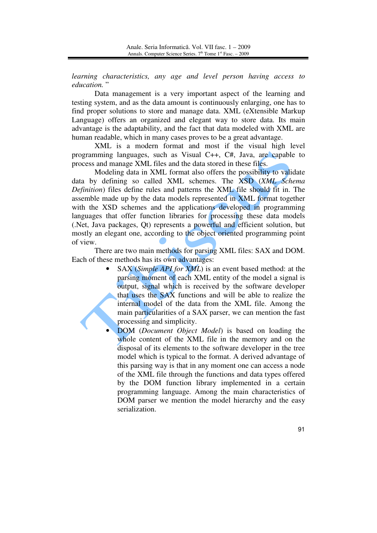*learning characteristics, any age and level person having access to education.* "

Data management is a very important aspect of the learning and testing system, and as the data amount is continuously enlarging, one has to find proper solutions to store and manage data. XML (eXtensible Markup Language) offers an organized and elegant way to store data. Its main advantage is the adaptability, and the fact that data modeled with XML are human readable, which in many cases proves to be a great advantage.

XML is a modern format and most if the visual high level programming languages, such as Visual C++, C#, Java, are capable to process and manage XML files and the data stored in these files.

Modeling data in XML format also offers the possibility to validate data by defining so called XML schemes. The XSD (*XML Schema Definition*) files define rules and patterns the XML file should fit in. The assemble made up by the data models represented in XML format together with the XSD schemes and the applications developed in programming languages that offer function libraries for processing these data models (.Net, Java packages, Qt) represents a powerful and efficient solution, but mostly an elegant one, according to the object oriented programming point of view.

There are two main methods for parsing XML files: SAX and DOM. Each of these methods has its own advantages:

- SAX (*Simple API for XML*) is an event based method: at the parsing moment of each XML entity of the model a signal is output, signal which is received by the software developer that uses the SAX functions and will be able to realize the internal model of the data from the XML file. Among the main particularities of a SAX parser, we can mention the fast processing and simplicity.
- DOM (*Document Object Model*) is based on loading the whole content of the XML file in the memory and on the disposal of its elements to the software developer in the tree model which is typical to the format. A derived advantage of this parsing way is that in any moment one can access a node of the XML file through the functions and data types offered by the DOM function library implemented in a certain programming language. Among the main characteristics of DOM parser we mention the model hierarchy and the easy serialization.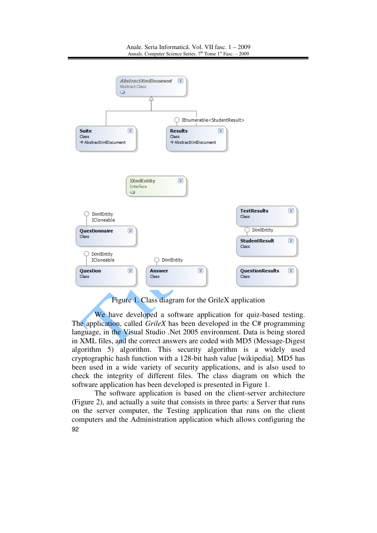

## Figure 1. Class diagram for the GrileX application

We have developed a software application for quiz-based testing. The application, called *GrileX* has been developed in the C# programming language, in the Visual Studio .Net 2005 environment. Data is being stored in XML files, and the correct answers are coded with MD5 (Message-Digest algorithm 5) algorithm. This security algorithm is a widely used cryptographic hash function with a 128-bit hash value [wikipedia]. MD5 has been used in a wide variety of security applications, and is also used to check the integrity of different files. The class diagram on which the software application has been developed is presented in Figure 1.

92 The software application is based on the client-server architecture (Figure 2), and actually a suite that consists in three parts: a Server that runs on the server computer, the Testing application that runs on the client computers and the Administration application which allows configuring the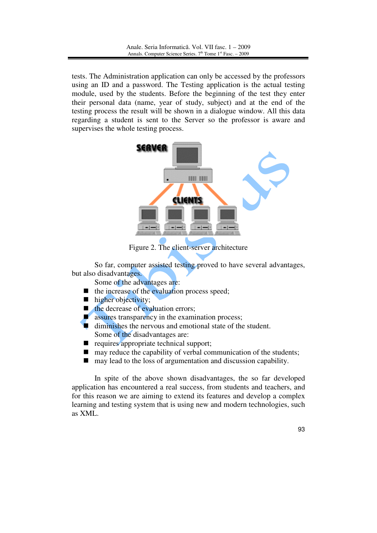tests. The Administration application can only be accessed by the professors using an ID and a password. The Testing application is the actual testing module, used by the students. Before the beginning of the test they enter their personal data (name, year of study, subject) and at the end of the testing process the result will be shown in a dialogue window. All this data regarding a student is sent to the Server so the professor is aware and supervises the whole testing process.



Figure 2. The client-server architecture

So far, computer assisted testing proved to have several advantages, but also disadvantages.

Some of the advantages are:

- $\blacksquare$  the increase of the evaluation process speed;
- $\blacksquare$  higher objectivity;
- $\blacksquare$  the decrease of evaluation errors;
- $\blacksquare$  assures transparency in the examination process;
- diminishes the nervous and emotional state of the student. Some of the disadvantages are:
- equires appropriate technical support;
- $\blacksquare$  may reduce the capability of verbal communication of the students;
- $\blacksquare$  may lead to the loss of argumentation and discussion capability.

In spite of the above shown disadvantages, the so far developed application has encountered a real success, from students and teachers, and for this reason we are aiming to extend its features and develop a complex learning and testing system that is using new and modern technologies, such as XML.